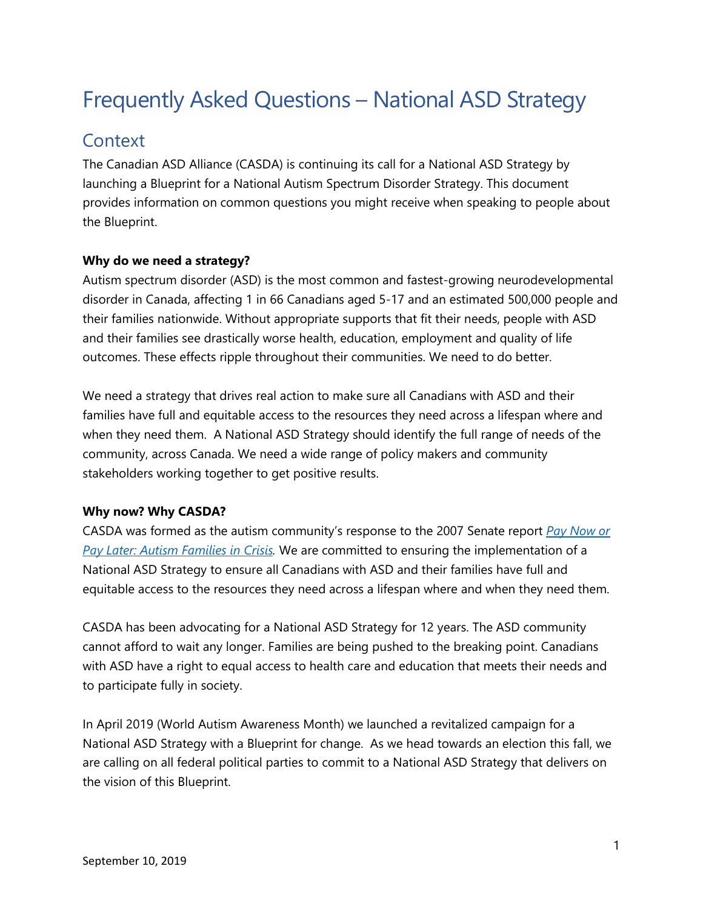# Frequently Asked Questions – National ASD Strategy

## **Context**

The Canadian ASD Alliance (CASDA) is continuing its call for a National ASD Strategy by launching a Blueprint for a National Autism Spectrum Disorder Strategy. This document provides information on common questions you might receive when speaking to people about the Blueprint.

#### **Why do we need a strategy?**

Autism spectrum disorder (ASD) is the most common and fastest-growing neurodevelopmental disorder in Canada, affecting 1 in 66 Canadians aged 5-17 and an estimated 500,000 people and their families nationwide. Without appropriate supports that fit their needs, people with ASD and their families see drastically worse health, education, employment and quality of life outcomes. These effects ripple throughout their communities. We need to do better.

We need a strategy that drives real action to make sure all Canadians with ASD and their families have full and equitable access to the resources they need across a lifespan where and when they need them. A National ASD Strategy should identify the full range of needs of the community, across Canada. We need a wide range of policy makers and community stakeholders working together to get positive results.

#### **Why now? Why CASDA?**

CASDA was formed as the autism community's response to the 2007 Senate report *[Pay Now or](http://publications.gc.ca/collections/collection_2007/sen/YC17-391-1-01E.pdf)  [Pay Later: Autism Families in Crisis.](http://publications.gc.ca/collections/collection_2007/sen/YC17-391-1-01E.pdf)* We are committed to ensuring the implementation of a National ASD Strategy to ensure all Canadians with ASD and their families have full and equitable access to the resources they need across a lifespan where and when they need them.

CASDA has been advocating for a National ASD Strategy for 12 years. The ASD community cannot afford to wait any longer. Families are being pushed to the breaking point. Canadians with ASD have a right to equal access to health care and education that meets their needs and to participate fully in society.

In April 2019 (World Autism Awareness Month) we launched a revitalized campaign for a National ASD Strategy with a Blueprint for change. As we head towards an election this fall, we are calling on all federal political parties to commit to a National ASD Strategy that delivers on the vision of this Blueprint.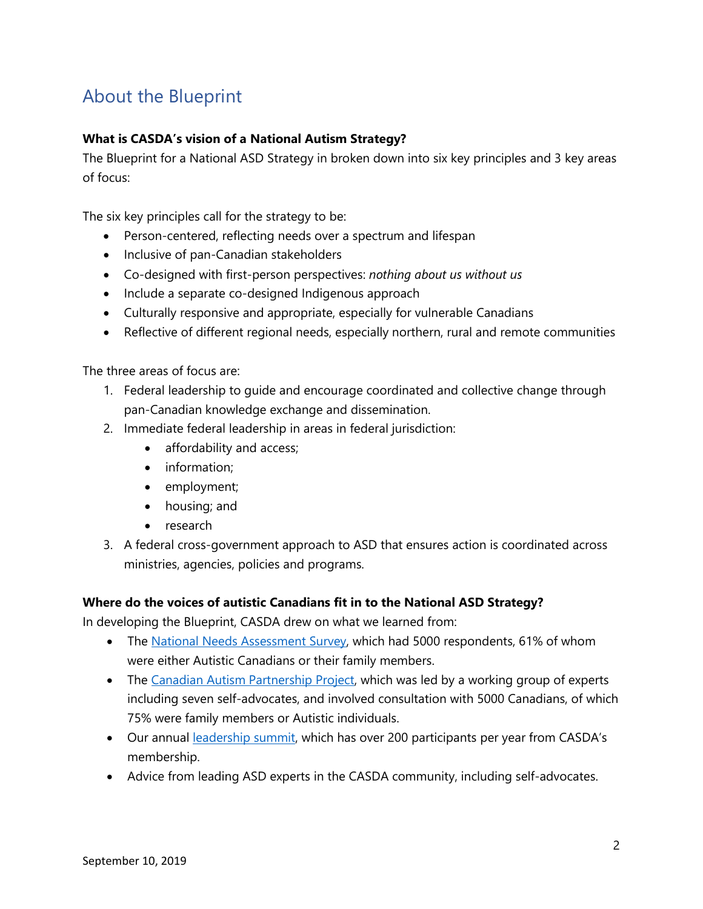# About the Blueprint

#### **What is CASDA's vision of a National Autism Strategy?**

The Blueprint for a National ASD Strategy in broken down into six key principles and 3 key areas of focus:

The six key principles call for the strategy to be:

- Person-centered, reflecting needs over a spectrum and lifespan
- Inclusive of pan-Canadian stakeholders
- Co-designed with first-person perspectives: *nothing about us without us*
- Include a separate co-designed Indigenous approach
- Culturally responsive and appropriate, especially for vulnerable Canadians
- Reflective of different regional needs, especially northern, rural and remote communities

The three areas of focus are:

- 1. Federal leadership to guide and encourage coordinated and collective change through pan-Canadian knowledge exchange and dissemination.
- 2. Immediate federal leadership in areas in federal jurisdiction:
	- affordability and access;
	- information;
	- employment;
	- housing; and
	- research
- 3. A federal cross-government approach to ASD that ensures action is coordinated across ministries, agencies, policies and programs.

#### **Where do the voices of autistic Canadians fit in to the National ASD Strategy?**

In developing the Blueprint, CASDA drew on what we learned from:

- The [National Needs Assessment Survey,](http://www.casda.ca/wp-content/uploads/2015/12/NationalNeedsAssessmentSurvey_July-30.pdf) which had 5000 respondents, 61% of whom were either Autistic Canadians or their family members.
- The [Canadian Autism Partnership Project,](https://www.casda.ca/capp/) which was led by a working group of experts including seven self-advocates, and involved consultation with 5000 Canadians, of which 75% were family members or Autistic individuals.
- Our annual [leadership summit,](https://www.casda.ca/leadership-summit/) which has over 200 participants per year from CASDA's membership.
- Advice from leading ASD experts in the CASDA community, including self-advocates.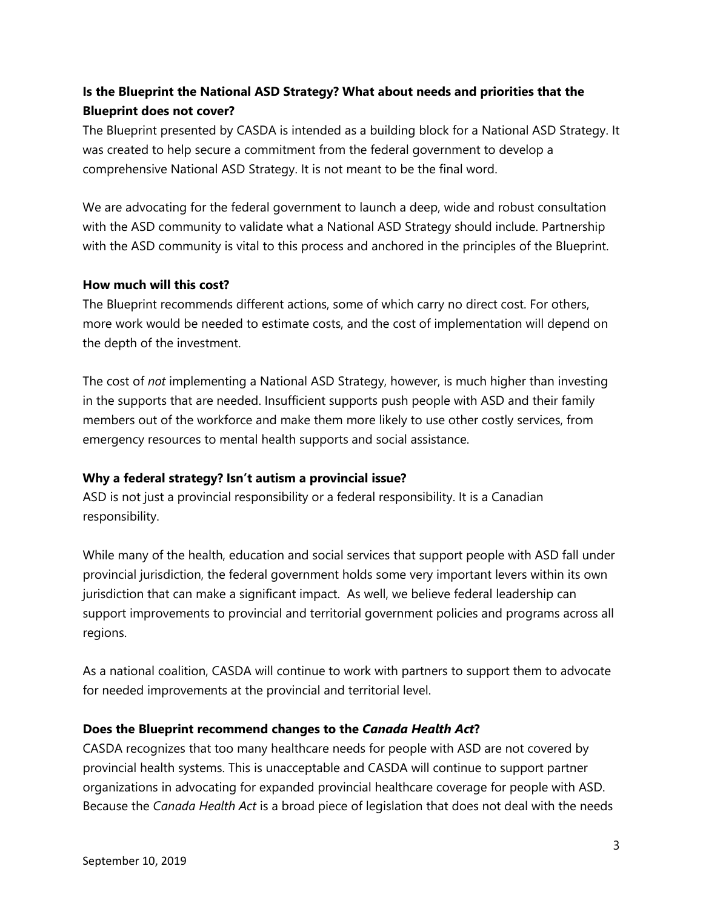### **Is the Blueprint the National ASD Strategy? What about needs and priorities that the Blueprint does not cover?**

The Blueprint presented by CASDA is intended as a building block for a National ASD Strategy. It was created to help secure a commitment from the federal government to develop a comprehensive National ASD Strategy. It is not meant to be the final word.

We are advocating for the federal government to launch a deep, wide and robust consultation with the ASD community to validate what a National ASD Strategy should include. Partnership with the ASD community is vital to this process and anchored in the principles of the Blueprint.

#### **How much will this cost?**

The Blueprint recommends different actions, some of which carry no direct cost. For others, more work would be needed to estimate costs, and the cost of implementation will depend on the depth of the investment.

The cost of *not* implementing a National ASD Strategy, however, is much higher than investing in the supports that are needed. Insufficient supports push people with ASD and their family members out of the workforce and make them more likely to use other costly services, from emergency resources to mental health supports and social assistance.

#### **Why a federal strategy? Isn't autism a provincial issue?**

ASD is not just a provincial responsibility or a federal responsibility. It is a Canadian responsibility.

While many of the health, education and social services that support people with ASD fall under provincial jurisdiction, the federal government holds some very important levers within its own jurisdiction that can make a significant impact. As well, we believe federal leadership can support improvements to provincial and territorial government policies and programs across all regions.

As a national coalition, CASDA will continue to work with partners to support them to advocate for needed improvements at the provincial and territorial level.

#### **Does the Blueprint recommend changes to the** *Canada Health Act***?**

CASDA recognizes that too many healthcare needs for people with ASD are not covered by provincial health systems. This is unacceptable and CASDA will continue to support partner organizations in advocating for expanded provincial healthcare coverage for people with ASD. Because the *Canada Health Act* is a broad piece of legislation that does not deal with the needs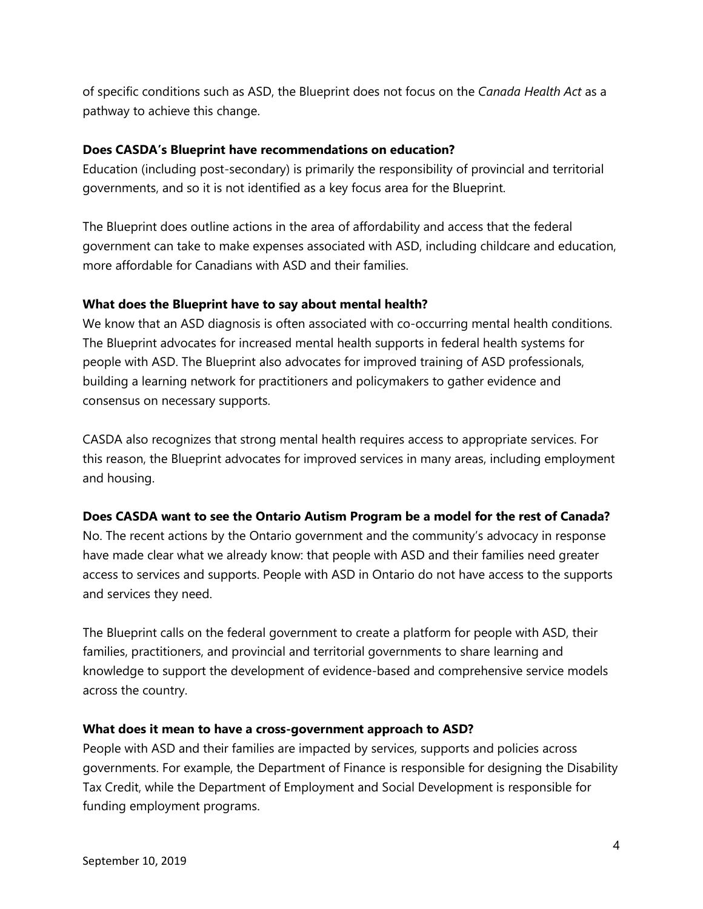of specific conditions such as ASD, the Blueprint does not focus on the *Canada Health Act* as a pathway to achieve this change.

#### **Does CASDA's Blueprint have recommendations on education?**

Education (including post-secondary) is primarily the responsibility of provincial and territorial governments, and so it is not identified as a key focus area for the Blueprint.

The Blueprint does outline actions in the area of affordability and access that the federal government can take to make expenses associated with ASD, including childcare and education, more affordable for Canadians with ASD and their families.

#### **What does the Blueprint have to say about mental health?**

We know that an ASD diagnosis is often associated with co-occurring mental health conditions. The Blueprint advocates for increased mental health supports in federal health systems for people with ASD. The Blueprint also advocates for improved training of ASD professionals, building a learning network for practitioners and policymakers to gather evidence and consensus on necessary supports.

CASDA also recognizes that strong mental health requires access to appropriate services. For this reason, the Blueprint advocates for improved services in many areas, including employment and housing.

#### **Does CASDA want to see the Ontario Autism Program be a model for the rest of Canada?**

No. The recent actions by the Ontario government and the community's advocacy in response have made clear what we already know: that people with ASD and their families need greater access to services and supports. People with ASD in Ontario do not have access to the supports and services they need.

The Blueprint calls on the federal government to create a platform for people with ASD, their families, practitioners, and provincial and territorial governments to share learning and knowledge to support the development of evidence-based and comprehensive service models across the country.

#### **What does it mean to have a cross-government approach to ASD?**

People with ASD and their families are impacted by services, supports and policies across governments. For example, the Department of Finance is responsible for designing the Disability Tax Credit, while the Department of Employment and Social Development is responsible for funding employment programs.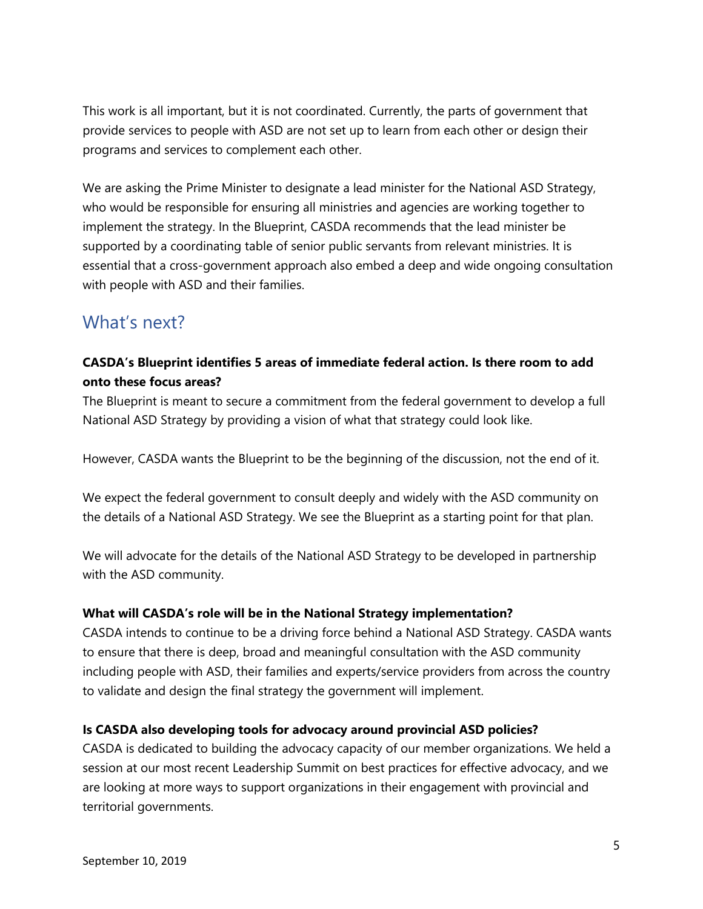This work is all important, but it is not coordinated. Currently, the parts of government that provide services to people with ASD are not set up to learn from each other or design their programs and services to complement each other.

We are asking the Prime Minister to designate a lead minister for the National ASD Strategy, who would be responsible for ensuring all ministries and agencies are working together to implement the strategy. In the Blueprint, CASDA recommends that the lead minister be supported by a coordinating table of senior public servants from relevant ministries. It is essential that a cross-government approach also embed a deep and wide ongoing consultation with people with ASD and their families.

# What's next?

#### **CASDA's Blueprint identifies 5 areas of immediate federal action. Is there room to add onto these focus areas?**

The Blueprint is meant to secure a commitment from the federal government to develop a full National ASD Strategy by providing a vision of what that strategy could look like.

However, CASDA wants the Blueprint to be the beginning of the discussion, not the end of it.

We expect the federal government to consult deeply and widely with the ASD community on the details of a National ASD Strategy. We see the Blueprint as a starting point for that plan.

We will advocate for the details of the National ASD Strategy to be developed in partnership with the ASD community.

#### **What will CASDA's role will be in the National Strategy implementation?**

CASDA intends to continue to be a driving force behind a National ASD Strategy. CASDA wants to ensure that there is deep, broad and meaningful consultation with the ASD community including people with ASD, their families and experts/service providers from across the country to validate and design the final strategy the government will implement.

#### **Is CASDA also developing tools for advocacy around provincial ASD policies?**

CASDA is dedicated to building the advocacy capacity of our member organizations. We held a session at our most recent Leadership Summit on best practices for effective advocacy, and we are looking at more ways to support organizations in their engagement with provincial and territorial governments.